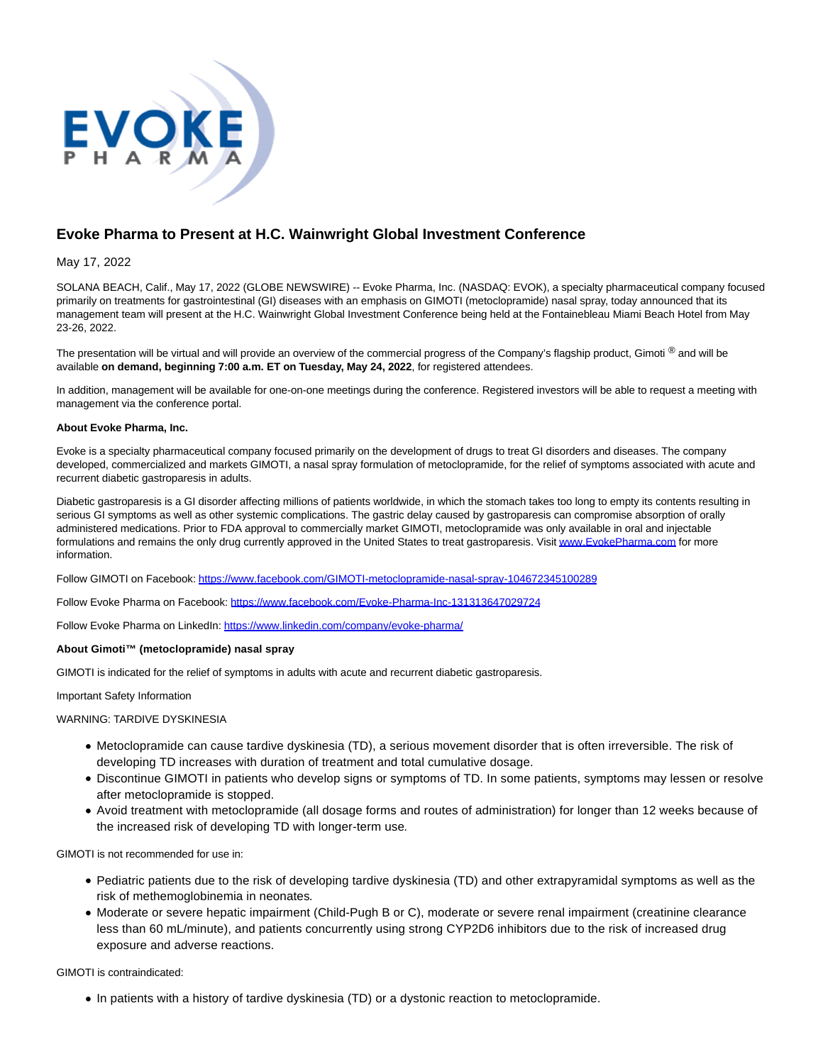

## **Evoke Pharma to Present at H.C. Wainwright Global Investment Conference**

May 17, 2022

SOLANA BEACH, Calif., May 17, 2022 (GLOBE NEWSWIRE) -- Evoke Pharma, Inc. (NASDAQ: EVOK), a specialty pharmaceutical company focused primarily on treatments for gastrointestinal (GI) diseases with an emphasis on GIMOTI (metoclopramide) nasal spray, today announced that its management team will present at the H.C. Wainwright Global Investment Conference being held at the Fontainebleau Miami Beach Hotel from May 23-26, 2022.

The presentation will be virtual and will provide an overview of the commercial progress of the Company's flagship product, Gimoti ® and will be available **on demand, beginning 7:00 a.m. ET on Tuesday, May 24, 2022**, for registered attendees.

In addition, management will be available for one-on-one meetings during the conference. Registered investors will be able to request a meeting with management via the conference portal.

## **About Evoke Pharma, Inc.**

Evoke is a specialty pharmaceutical company focused primarily on the development of drugs to treat GI disorders and diseases. The company developed, commercialized and markets GIMOTI, a nasal spray formulation of metoclopramide, for the relief of symptoms associated with acute and recurrent diabetic gastroparesis in adults.

Diabetic gastroparesis is a GI disorder affecting millions of patients worldwide, in which the stomach takes too long to empty its contents resulting in serious GI symptoms as well as other systemic complications. The gastric delay caused by gastroparesis can compromise absorption of orally administered medications. Prior to FDA approval to commercially market GIMOTI, metoclopramide was only available in oral and injectable formulations and remains the only drug currently approved in the United States to treat gastroparesis. Visi[t www.EvokePharma.com f](https://www.globenewswire.com/Tracker?data=q2_F2t_EvFMNi36rVNj4FOmDtmsz8lLeFBT-cu1ApdKjjqqE6sx5n24BMLc1QIbhpU8zPjNkMq3klNHZOBRDoKOxoTLquT1v54-VemEEaOA=)or more information.

Follow GIMOTI on Facebook: [https://www.facebook.com/GIMOTI-metoclopramide-nasal-spray-104672345100289](https://www.globenewswire.com/Tracker?data=0C2EisVr0FXxJl0ADJBBN96bg4kkSTS_QS1LbA1TZ6wP6SiwbS8mjMX7E6YsdB6YLvD4muil77LPeMEp5ZJYQdttrSSC6aJzLiWQXmZDA2PMZhuKoqG8c35585EHJCNDtx00dcvxkEWbwh2FQtVcAW_7tfH_PpoYsdrhAykwK9676JBZ4t9et8TBK69aLJ6yq8JbrPtNTunU1QMqrimjejCrzDWFAEl2NKtT8mw3oBc=)

Follow Evoke Pharma on Facebook: [https://www.facebook.com/Evoke-Pharma-Inc-131313647029724](https://www.globenewswire.com/Tracker?data=0C2EisVr0FXxJl0ADJBBN96bg4kkSTS_QS1LbA1TZ6x4F0SDoDcr6SE4DHJOpc-0F6GTq4q1Qwo-GMk-KdVCMsNmN0juHbE0zxOfur9LxUDl58SQ3Tvhc8QCk2wnamTxkYNiGNedgo-xmOJUtj4JIHgP6eKgugdX2GMtxRLWX0MOJz8m1JHKFokwkKuQ6jSw)

Follow Evoke Pharma on LinkedIn: [https://www.linkedin.com/company/evoke-pharma/](https://www.globenewswire.com/Tracker?data=0C2EisVr0FXxJl0ADJBBNzwnGGFPLqPSOvjgWfKW-EcPh-G6DD_LQgPF9ELsXni_toWqkUukQNcvbZGse6x5AHefi93Gm2X4Vb2xjQ-_a77Em292xViy_ZABzHFdLLm_iosRHNNwoKekOHddmczpTOXj-xgnXNrGRcRpRCvnLO4=)

## **About Gimoti™ (metoclopramide) nasal spray**

GIMOTI is indicated for the relief of symptoms in adults with acute and recurrent diabetic gastroparesis.

Important Safety Information

WARNING: TARDIVE DYSKINESIA

- Metoclopramide can cause tardive dyskinesia (TD), a serious movement disorder that is often irreversible. The risk of developing TD increases with duration of treatment and total cumulative dosage.
- Discontinue GIMOTI in patients who develop signs or symptoms of TD. In some patients, symptoms may lessen or resolve after metoclopramide is stopped.
- Avoid treatment with metoclopramide (all dosage forms and routes of administration) for longer than 12 weeks because of the increased risk of developing TD with longer-term use.

GIMOTI is not recommended for use in:

- Pediatric patients due to the risk of developing tardive dyskinesia (TD) and other extrapyramidal symptoms as well as the risk of methemoglobinemia in neonates.
- Moderate or severe hepatic impairment (Child-Pugh B or C), moderate or severe renal impairment (creatinine clearance less than 60 mL/minute), and patients concurrently using strong CYP2D6 inhibitors due to the risk of increased drug exposure and adverse reactions.

GIMOTI is contraindicated:

In patients with a history of tardive dyskinesia (TD) or a dystonic reaction to metoclopramide.